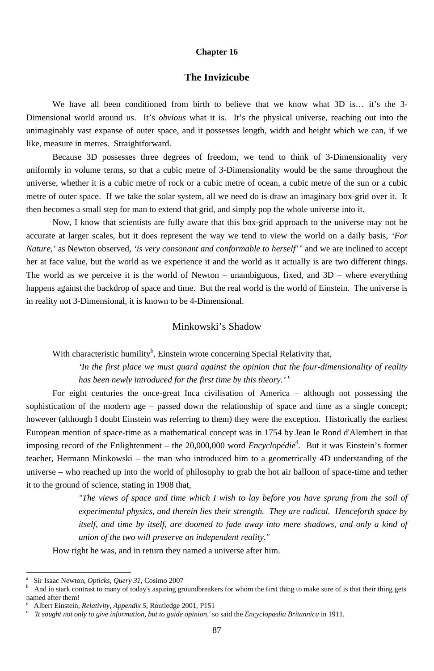#### **Chapter 16**

#### **The Invizicube**

We have all been conditioned from birth to believe that we know what 3D is... it's the 3-Dimensional world around us. It's *obvious* what it is. It's the physical universe, reaching out into the unimaginably vast expanse of outer space, and it possesses length, width and height which we can, if we like, measure in metres. Straightforward.

Because 3D possesses three degrees of freedom, we tend to think of 3-Dimensionality very uniformly in volume terms, so that a cubic metre of 3-Dimensionality would be the same throughout the universe, whether it is a cubic metre of rock or a cubic metre of ocean, a cubic metre of the sun or a cubic metre of outer space. If we take the solar system, all we need do is draw an imaginary box-grid over it. It then becomes a small step for man to extend that grid, and simply pop the whole universe into it.

> *'In the first place we must guard against the opinion that the four-dimensionality of reality has been newly introduced for the first time by this theory.'* <sup>c</sup>

Now, I know that scientists are fully aware that this box-grid approach to the universe may not be accurate at larger scales, but it does represent the way we tend to view the world on a daily basis, *'For Nature,'* as Newton observed, '*is very consonant and conformable to herself'* <sup>a</sup> and we are inclined to accept her at face value, but the world as we experience it and the world as it actually is are two different things. The world as we perceive it is the world of Newton – unambiguous, fixed, and 3D – where everything happens against the backdrop of space and time. But the real world is the world of Einstein. The universe is in reality not 3-Dimensional, it is known to be 4-Dimensional.

#### Minkowski's Shadow

With characteristic humility<sup>b</sup>, Einstein wrote concerning Special Relativity that,

For eight centuries the once-great Inca civilisation of America – although not possessing the sophistication of the modern age – passed down the relationship of space and time as a single concept; however (although I doubt Einstein was referring to them) they were the exception. Historically the earliest European mention of space-time as a mathematical concept was in 1754 by Jean le Rond d'Alembert in that imposing record of the Enlightenment – the 20,000,000 word *Encyclopédie*<sup>d</sup>. But it was Einstein's former teacher, Hermann Minkowski – the man who introduced him to a geometrically 4D understanding of the universe – who reached up into the world of philosophy to grab the hot air balloon of space-time and tether it to the ground of science, stating in 1908 that,

> *"The views of space and time which I wish to lay before you have sprung from the soil of experimental physics, and therein lies their strength. They are radical. Henceforth space by*  itself, and time by itself, are doomed to fade away into mere shadows, and only a kind of *union of the two will preserve an independent reality."*

How right he was, and in return they named a universe after him.

<sup>-</sup>

<sup>87</sup>

a Sir Isaac Newton, *Opticks, Query 31*, Cosimo 2007

b And in stark contrast to many of today's aspiring groundbreakers for whom the first thing to make sure of is that their thing gets named after them!

c Albert Einstein, *Relativity, Appendix 5*, Routledge 2001, P151

d *'It sought not only to give information, but to guide opinion,'* so said the *Encyclopædia Britannica* in 1911.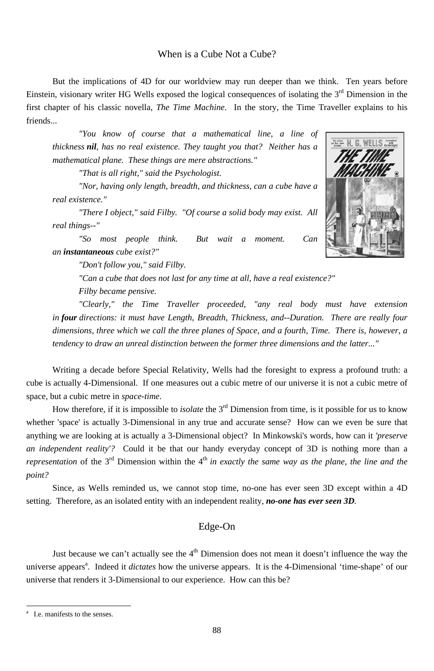### When is a Cube Not a Cube?

But the implications of 4D for our worldview may run deeper than we think. Ten years before Einstein, visionary writer HG Wells exposed the logical consequences of isolating the  $3<sup>rd</sup>$  Dimension in the first chapter of his classic novella, The Time Machine. In the story, the Time Traveller explains to his friends...

"You know of course that a mathematical line, a line of thickness nil, has no real existence. They taught you that? Neither has a mathematical plane. These things are mere abstractions."

"That is all right," said the Psychologist.

"Nor, having only length, breadth, and thickness, can a cube have a real existence."

"There I object," said Filby. "Of course a solid body may exist. All real things--"

"So most people think. But wait a moment. Can an instantaneous cube exist?"

"Don't follow you," said Filby.

"Can a cube that does not last for any time at all, have a real existence?"

Filby became pensive.

"Clearly," the Time Traveller proceeded, "any real body must have extension in four directions: it must have Length, Breadth, Thickness, and--Duration. There are really four dimensions, three which we call the three planes of Space, and a fourth, Time. There is, however, a tendency to draw an unreal distinction between the former three dimensions and the latter..."

Writing a decade before Special Relativity, Wells had the foresight to express a profound truth: a cube is actually 4-Dimensional. If one measures out a cubic metre of our universe it is not a cubic metre of space, but a cubic metre in space-time.

How therefore, if it is impossible to *isolate* the  $3<sup>rd</sup>$  Dimension from time, is it possible for us to know whether 'space' is actually 3-Dimensional in any true and accurate sense? How can we even be sure that anything we are looking at is actually a 3-Dimensional object? In Minkowski's words, how can it 'preserve an independent reality'? Could it be that our handy everyday concept of 3D is nothing more than a representation of the  $3^{rd}$  Dimension within the  $4^{th}$  in exactly the same way as the plane, the line and the point?

Since, as Wells reminded us, we cannot stop time, no-one has ever seen 3D except within a 4D



setting. Therefore, as an isolated entity with an independent reality, no-one has ever seen 3D.

# Edge-On

Just because we can't actually see the 4<sup>th</sup> Dimension does not mean it doesn't influence the way the universe appears<sup>a</sup>. Indeed it *dictates* how the universe appears. It is the 4-Dimensional 'time-shape' of our universe that renders it 3-Dimensional to our experience. How can this be?

88

I.e. manifests to the senses.  $\mathbf{a}$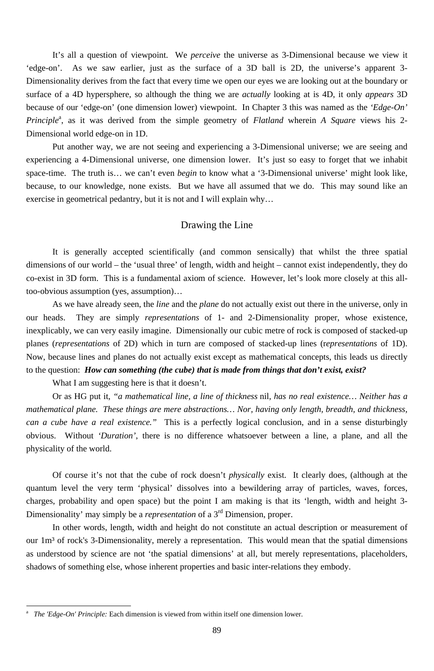It's all a question of viewpoint. We *perceive* the universe as 3-Dimensional because we view it 'edge-on'. As we saw earlier, just as the surface of a 3D ball is 2D, the universe's apparent 3- Dimensionality derives from the fact that every time we open our eyes we are looking out at the boundary or surface of a 4D hypersphere, so although the thing we are *actually* looking at is 4D, it only *appears* 3D because of our 'edge-on' (one dimension lower) viewpoint. In Chapter 3 this was named as the *'Edge-On'*  Principle<sup>a</sup>, as it was derived from the simple geometry of *Flatland* wherein *A Square* views his 2-Dimensional world edge-on in 1D.

Put another way, we are not seeing and experiencing a 3-Dimensional universe; we are seeing and experiencing a 4-Dimensional universe, one dimension lower. It's just so easy to forget that we inhabit space-time. The truth is… we can't even *begin* to know what a '3-Dimensional universe' might look like, because, to our knowledge, none exists. But we have all assumed that we do. This may sound like an exercise in geometrical pedantry, but it is not and I will explain why…

## Drawing the Line

It is generally accepted scientifically (and common sensically) that whilst the three spatial dimensions of our world – the 'usual three' of length, width and height – cannot exist independently, they do co-exist in 3D form. This is a fundamental axiom of science. However, let's look more closely at this alltoo-obvious assumption (yes, assumption)…

As we have already seen, the *line* and the *plane* do not actually exist out there in the universe, only in our heads. They are simply *representations* of 1- and 2-Dimensionality proper, whose existence, inexplicably, we can very easily imagine. Dimensionally our cubic metre of rock is composed of stacked-up planes (*representations* of 2D) which in turn are composed of stacked-up lines (r*epresentations* of 1D). Now, because lines and planes do not actually exist except as mathematical concepts, this leads us directly to the question: *How can something (the cube) that is made from things that don't exist, exist?* 

What I am suggesting here is that it doesn't.

Or as HG put it, *"a mathematical line, a line of thickness* nil*, has no real existence… Neither has a mathematical plane. These things are mere abstractions… Nor, having only length, breadth, and thickness, can a cube have a real existence."* This is a perfectly logical conclusion, and in a sense disturbingly obvious. Without *'Duration'*, there is no difference whatsoever between a line, a plane, and all the physicality of the world.

Of course it's not that the cube of rock doesn't *physically* exist. It clearly does, (although at the quantum level the very term 'physical' dissolves into a bewildering array of particles, waves, forces,

charges, probability and open space) but the point I am making is that its 'length, width and height 3- Dimensionality' may simply be a *representation* of a 3rd Dimension, proper.

In other words, length, width and height do not constitute an actual description or measurement of our 1m<sup>3</sup> of rock's 3-Dimensionality, merely a representation. This would mean that the spatial dimensions as understood by science are not 'the spatial dimensions' at all, but merely representations, placeholders, shadows of something else, whose inherent properties and basic inter-relations they embody.

<sup>89</sup>

a *The 'Edge-On' Principle:* Each dimension is viewed from within itself one dimension lower.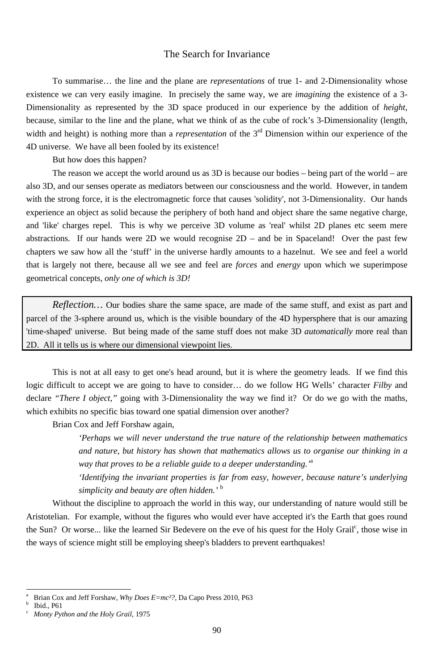90

## The Search for Invariance

To summarise… the line and the plane are *representations* of true 1- and 2-Dimensionality whose existence we can very easily imagine. In precisely the same way, we are *imagining* the existence of a 3- Dimensionality as represented by the 3D space produced in our experience by the addition of *height*, because, similar to the line and the plane, what we think of as the cube of rock's 3-Dimensionality (length, width and height) is nothing more than a *representation* of the 3<sup>rd</sup> Dimension within our experience of the 4D universe. We have all been fooled by its existence!

But how does this happen?

This is not at all easy to get one's head around, but it is where the geometry leads. If we find this logic difficult to accept we are going to have to consider… do we follow HG Wells' character *Filby* and declare *"There I object,"* going with 3-Dimensionality the way we find it? Or do we go with the maths, which exhibits no specific bias toward one spatial dimension over another?

The reason we accept the world around us as 3D is because our bodies – being part of the world – are also 3D, and our senses operate as mediators between our consciousness and the world. However, in tandem with the strong force, it is the electromagnetic force that causes 'solidity', not 3-Dimensionality. Our hands experience an object as solid because the periphery of both hand and object share the same negative charge, and 'like' charges repel. This is why we perceive 3D volume as 'real' whilst 2D planes etc seem mere abstractions. If our hands were 2D we would recognise 2D – and be in Spaceland! Over the past few chapters we saw how all the 'stuff' in the universe hardly amounts to a hazelnut. We see and feel a world that is largely not there, because all we see and feel are *forces* and *energy* upon which we superimpose geometrical concepts, *only one of which is 3D!*

*Reflection…* Our bodies share the same space, are made of the same stuff, and exist as part and parcel of the 3-sphere around us, which is the visible boundary of the 4D hypersphere that is our amazing 'time-shaped' universe. But being made of the same stuff does not make 3D *automatically* more real than 2D. All it tells us is where our dimensional viewpoint lies.

Brian Cox and Jeff Forshaw again,

*'Perhaps we will never understand the true nature of the relationship between mathematics and nature, but history has shown that mathematics allows us to organise our thinking in a way that proves to be a reliable guide to a deeper understanding.'*<sup>a</sup>

*'Identifying the invariant properties is far from easy, however, because nature's underlying simplicity and beauty are often hidden.'* <sup>b</sup>

Without the discipline to approach the world in this way, our understanding of nature would still be Aristotelian. For example, without the figures who would ever have accepted it's the Earth that goes round the Sun? Or worse... like the learned Sir Bedevere on the eve of his quest for the Holy Grail<sup>c</sup>, those wise in the ways of science might still be employing sheep's bladders to prevent earthquakes!

a Brian Cox and Jeff Forshaw, *Why Does E=mc²?*, Da Capo Press 2010, P63

b Ibid., P61

c *Monty Python and the Holy Grail*, 1975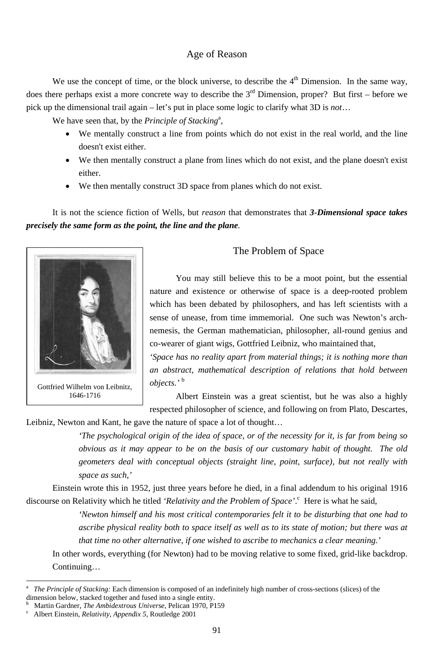# Age of Reason

We use the concept of time, or the block universe, to describe the  $4<sup>th</sup>$  Dimension. In the same way, does there perhaps exist a more concrete way to describe the  $3<sup>rd</sup>$  Dimension, proper? But first – before we pick up the dimensional trail again – let's put in place some logic to clarify what 3D is not...

We have seen that, by the Principle of Stacking<sup>a</sup>,

- We mentally construct a line from points which do not exist in the real world, and the line  $\bullet$ doesn't exist either.
- We then mentally construct a plane from lines which do not exist, and the plane doesn't exist either.
- We then mentally construct 3D space from planes which do not exist.  $\bullet$

It is not the science fiction of Wells, but *reason* that demonstrates that 3-Dimensional space takes precisely the same form as the point, the line and the plane.



Gottfried Wilhelm von Leibnitz, 1646-1716

# The Problem of Space

You may still believe this to be a moot point, but the essential nature and existence or otherwise of space is a deep-rooted problem which has been debated by philosophers, and has left scientists with a sense of unease, from time immemorial. One such was Newton's archnemesis, the German mathematician, philosopher, all-round genius and co-wearer of giant wigs, Gottfried Leibniz, who maintained that,

'Space has no reality apart from material things; it is nothing more than an abstract, mathematical description of relations that hold between objects.'<sup>b</sup>

Albert Einstein was a great scientist, but he was also a highly respected philosopher of science, and following on from Plato, Descartes,

Leibniz, Newton and Kant, he gave the nature of space a lot of thought...

The psychological origin of the idea of space, or of the necessity for it, is far from being so obvious as it may appear to be on the basis of our customary habit of thought. The old geometers deal with conceptual objects (straight line, point, surface), but not really with space as such,'

Einstein wrote this in 1952, just three years before he died, in a final addendum to his original 1916

discourse on Relativity which he titled 'Relativity and the Problem of Space'. Here is what he said, 'Newton himself and his most critical contemporaries felt it to be disturbing that one had to ascribe physical reality both to space itself as well as to its state of motion; but there was at that time no other alternative, if one wished to ascribe to mechanics a clear meaning.' In other words, everything (for Newton) had to be moving relative to some fixed, grid-like backdrop. Continuing...

 $\mathbf{a}$ The Principle of Stacking: Each dimension is composed of an indefinitely high number of cross-sections (slices) of the dimension below, stacked together and fused into a single entity.

 $\mathbf b$ Martin Gardner, The Ambidextrous Universe, Pelican 1970, P159

 $\mathbf{c}$ Albert Einstein, Relativity, Appendix 5, Routledge 2001

<sup>91</sup>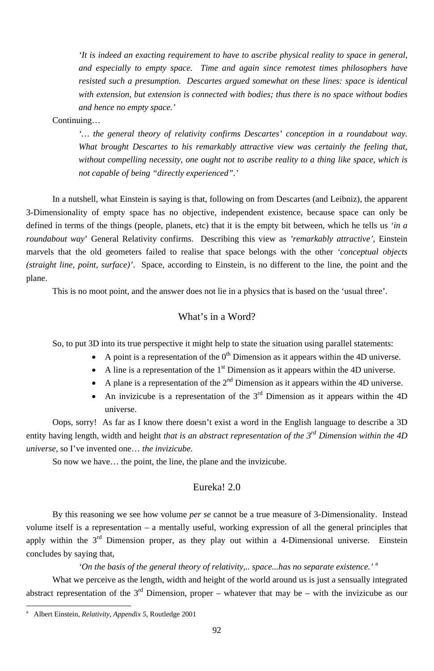92

*'It is indeed an exacting requirement to have to ascribe physical reality to space in general, and especially to empty space. Time and again since remotest times philosophers have resisted such a presumption. Descartes argued somewhat on these lines: space is identical with extension, but extension is connected with bodies; thus there is no space without bodies and hence no empty space.'*

Continuing…

*'… the general theory of relativity confirms Descartes' conception in a roundabout way. What brought Descartes to his remarkably attractive view was certainly the feeling that, without compelling necessity, one ought not to ascribe reality to a thing like space, which is not capable of being "directly experienced".'* 

- A point is a representation of the  $0<sup>th</sup>$  Dimension as it appears within the 4D universe.
- A line is a representation of the  $1<sup>st</sup>$  Dimension as it appears within the 4D universe.
- A plane is a representation of the  $2<sup>nd</sup>$  Dimension as it appears within the 4D universe.
- An invizicube is a representation of the  $3<sup>rd</sup>$  Dimension as it appears within the 4D universe.

In a nutshell, what Einstein is saying is that, following on from Descartes (and Leibniz), the apparent 3-Dimensionality of empty space has no objective, independent existence, because space can only be defined in terms of the things (people, planets, etc) that it is the empty bit between, which he tells us *'in a roundabout way*' General Relativity confirms. Describing this view as *'remarkably attractive'*, Einstein marvels that the old geometers failed to realise that space belongs with the other *'conceptual objects (straight line, point, surface)'*. Space, according to Einstein, is no different to the line, the point and the plane.

This is no moot point, and the answer does not lie in a physics that is based on the 'usual three'.

## What's in a Word?

So, to put 3D into its true perspective it might help to state the situation using parallel statements:

Oops, sorry! As far as I know there doesn't exist a word in the English language to describe a 3D entity having length, width and height *that is an abstract representation of the 3rd Dimension within the 4D universe*, so I've invented one… *the invizicube.* 

So now we have… the point, the line, the plane and the invizicube.

### Eureka! 2.0

By this reasoning we see how volume *per se* cannot be a true measure of 3-Dimensionality. Instead volume itself is a representation – a mentally useful, working expression of all the general principles that apply within the  $3<sup>rd</sup>$  Dimension proper, as they play out within a 4-Dimensional universe. Einstein concludes by saying that,

*'On the basis of the general theory of relativity,.. space...has no separate existence.'* <sup>a</sup> What we perceive as the length, width and height of the world around us is just a sensually integrated abstract representation of the  $3<sup>rd</sup>$  Dimension, proper – whatever that may be – with the invizicube as our

a Albert Einstein, *Relativity, Appendix 5*, Routledge 2001